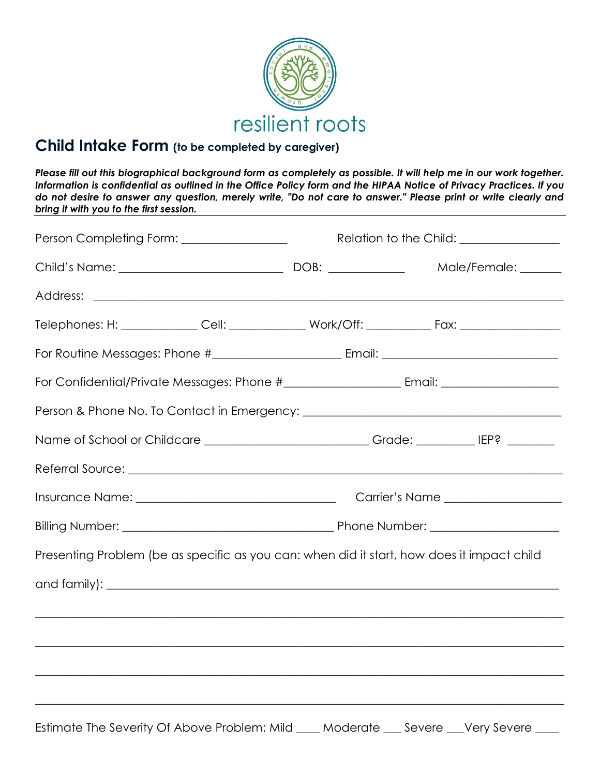

## **Child Intake Form (to be completed by caregiver)**

*Please fill out this biographical background form as completely as possible. It will help me in our work together. Information is confidential as outlined in the Office Policy form and the HIPAA Notice of Privacy Practices. If you do not desire to answer any question, merely write, "Do not care to answer." Please print or write clearly and bring it with you to the first session.*

| Person Completing Form: _________________                                                           |  | Relation to the Child: ________________ |                                                                                                                      |  |
|-----------------------------------------------------------------------------------------------------|--|-----------------------------------------|----------------------------------------------------------------------------------------------------------------------|--|
|                                                                                                     |  |                                         | Male/Female: ______                                                                                                  |  |
|                                                                                                     |  |                                         |                                                                                                                      |  |
|                                                                                                     |  |                                         |                                                                                                                      |  |
|                                                                                                     |  |                                         |                                                                                                                      |  |
|                                                                                                     |  |                                         |                                                                                                                      |  |
|                                                                                                     |  |                                         |                                                                                                                      |  |
| Name of School or Childcare ______________________________Grade: _______________ IEP? _____________ |  |                                         |                                                                                                                      |  |
|                                                                                                     |  |                                         |                                                                                                                      |  |
|                                                                                                     |  |                                         |                                                                                                                      |  |
|                                                                                                     |  |                                         |                                                                                                                      |  |
| Presenting Problem (be as specific as you can: when did it start, how does it impact child          |  |                                         |                                                                                                                      |  |
|                                                                                                     |  |                                         |                                                                                                                      |  |
|                                                                                                     |  |                                         | <u> 1989 - Johann Barn, amerikan bandar basar basa dalam basa dan basa dalam basa dalam basa dalam basa dalam ba</u> |  |
|                                                                                                     |  |                                         |                                                                                                                      |  |
|                                                                                                     |  |                                         | ,我们也不能在这里的人,我们也不能在这里的人,我们也不能在这里的人,我们也不能在这里的人,我们也不能在这里的人,我们也不能在这里的人,我们也不能在这里的人,我们也                                    |  |
|                                                                                                     |  |                                         |                                                                                                                      |  |
| Estimate The Severity Of Above Problem: Mild                                                        |  |                                         | Moderate __ Severe __Very Severe                                                                                     |  |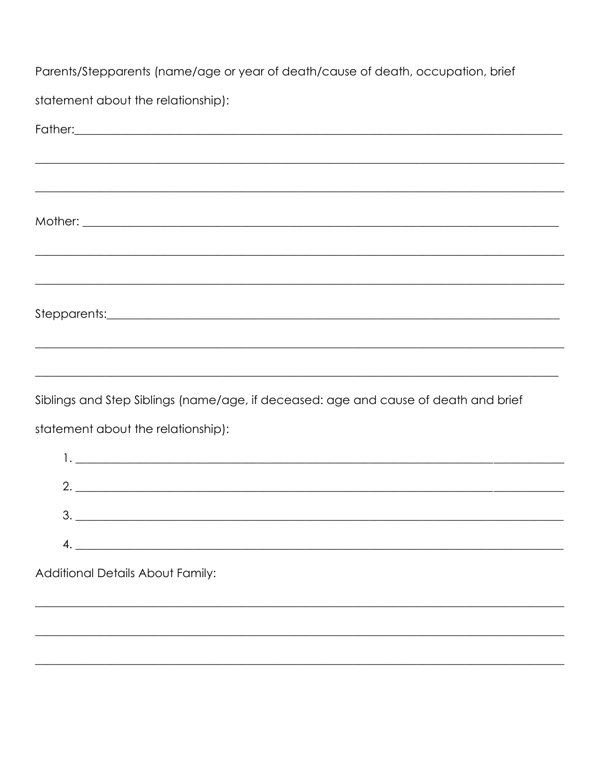Parents/Stepparents (name/age or year of death/cause of death, occupation, brief

statement about the relationship):

| Father: experience and the set of the set of the set of the set of the set of the set of the set of the set of the set of the set of the set of the set of the set of the set of the set of the set of the set of the set of t |
|--------------------------------------------------------------------------------------------------------------------------------------------------------------------------------------------------------------------------------|
| <u> 1989 - Johann Stoff, amerikansk politik (f. 1989)</u>                                                                                                                                                                      |
|                                                                                                                                                                                                                                |
|                                                                                                                                                                                                                                |
|                                                                                                                                                                                                                                |
| <u> 1989 - Johann Stoff, amerikan bestein de stad in de stad in de stad in de stad in de stad in de stad in de st</u>                                                                                                          |
|                                                                                                                                                                                                                                |
|                                                                                                                                                                                                                                |
|                                                                                                                                                                                                                                |
| Siblings and Step Siblings (name/age, if deceased: age and cause of death and brief                                                                                                                                            |
| statement about the relationship):                                                                                                                                                                                             |
|                                                                                                                                                                                                                                |
| $2.$ $\overline{\phantom{a}}$                                                                                                                                                                                                  |
| 3.                                                                                                                                                                                                                             |
| 4.                                                                                                                                                                                                                             |
| Additional Details About Family:                                                                                                                                                                                               |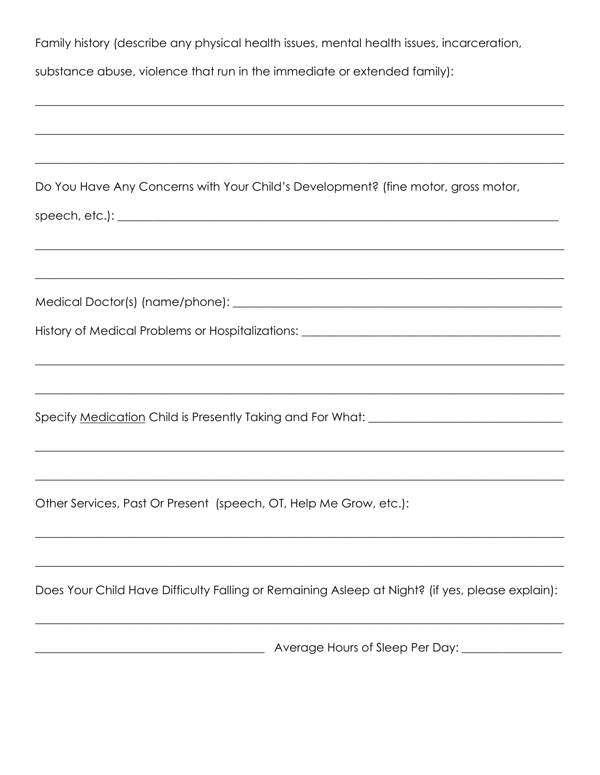| Family history (describe any physical health issues, mental health issues, incarceration,                                                                                                                 |
|-----------------------------------------------------------------------------------------------------------------------------------------------------------------------------------------------------------|
| substance abuse, violence that run in the immediate or extended family):                                                                                                                                  |
| <u> 1989 - Johann Stoff, amerikan bestein de stad in de stad in de stad in de stad in de stad in de stad in de st</u>                                                                                     |
| <u> 1989 - Johann John Stone, Amerikaansk politiker (d. 1989)</u><br>Do You Have Any Concerns with Your Child's Development? (fine motor, gross motor,                                                    |
| <u> 1999 - Jan James James Barnett, amerikan berlindar (h. 1989).</u>                                                                                                                                     |
|                                                                                                                                                                                                           |
| History of Medical Problems or Hospitalizations: _______________________________<br><u> 1989 - Johann Barbara, marka marka masjid aka masjid aka masjid aka masjid aka masjid aka masjid aka masjid a</u> |
| Specify Medication Child is Presently Taking and For What: ______________________                                                                                                                         |
|                                                                                                                                                                                                           |
| Other Services, Past Or Present (speech, OT, Help Me Grow, etc.):                                                                                                                                         |
| Does Your Child Have Difficulty Falling or Remaining Asleep at Night? (if yes, please explain):                                                                                                           |
|                                                                                                                                                                                                           |